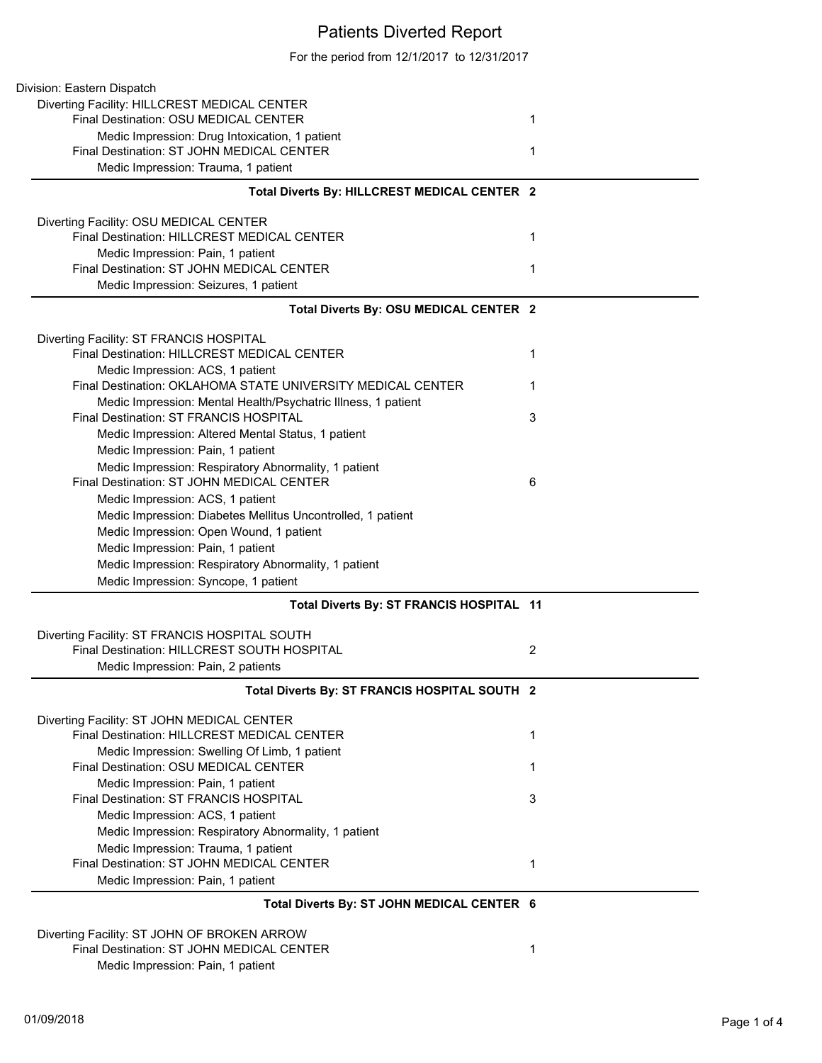## Patients Diverted Report

For the period from 12/1/2017 to 12/31/2017

| Division: Eastern Dispatch                                                            |                |
|---------------------------------------------------------------------------------------|----------------|
| Diverting Facility: HILLCREST MEDICAL CENTER                                          |                |
| Final Destination: OSU MEDICAL CENTER                                                 | 1              |
| Medic Impression: Drug Intoxication, 1 patient                                        |                |
| Final Destination: ST JOHN MEDICAL CENTER                                             | 1              |
| Medic Impression: Trauma, 1 patient                                                   |                |
| Total Diverts By: HILLCREST MEDICAL CENTER 2                                          |                |
|                                                                                       |                |
| Diverting Facility: OSU MEDICAL CENTER<br>Final Destination: HILLCREST MEDICAL CENTER | 1              |
| Medic Impression: Pain, 1 patient                                                     |                |
| Final Destination: ST JOHN MEDICAL CENTER                                             | 1              |
| Medic Impression: Seizures, 1 patient                                                 |                |
| Total Diverts By: OSU MEDICAL CENTER 2                                                |                |
|                                                                                       |                |
| Diverting Facility: ST FRANCIS HOSPITAL                                               |                |
| Final Destination: HILLCREST MEDICAL CENTER                                           | 1              |
| Medic Impression: ACS, 1 patient                                                      |                |
| Final Destination: OKLAHOMA STATE UNIVERSITY MEDICAL CENTER                           | 1              |
| Medic Impression: Mental Health/Psychatric Illness, 1 patient                         |                |
| Final Destination: ST FRANCIS HOSPITAL                                                | 3              |
| Medic Impression: Altered Mental Status, 1 patient                                    |                |
| Medic Impression: Pain, 1 patient                                                     |                |
| Medic Impression: Respiratory Abnormality, 1 patient                                  |                |
| Final Destination: ST JOHN MEDICAL CENTER                                             | 6              |
| Medic Impression: ACS, 1 patient                                                      |                |
| Medic Impression: Diabetes Mellitus Uncontrolled, 1 patient                           |                |
| Medic Impression: Open Wound, 1 patient                                               |                |
| Medic Impression: Pain, 1 patient                                                     |                |
| Medic Impression: Respiratory Abnormality, 1 patient                                  |                |
| Medic Impression: Syncope, 1 patient                                                  |                |
| Total Diverts By: ST FRANCIS HOSPITAL 11                                              |                |
| Diverting Facility: ST FRANCIS HOSPITAL SOUTH                                         |                |
| Final Destination: HILLCREST SOUTH HOSPITAL                                           | $\overline{2}$ |
| Medic Impression: Pain, 2 patients                                                    |                |
|                                                                                       |                |
| Total Diverts By: ST FRANCIS HOSPITAL SOUTH 2                                         |                |
| Diverting Facility: ST JOHN MEDICAL CENTER                                            |                |
| Final Destination: HILLCREST MEDICAL CENTER                                           | 1              |
| Medic Impression: Swelling Of Limb, 1 patient                                         |                |
| Final Destination: OSU MEDICAL CENTER                                                 | 1              |
| Medic Impression: Pain, 1 patient                                                     |                |
| Final Destination: ST FRANCIS HOSPITAL                                                | 3              |
| Medic Impression: ACS, 1 patient                                                      |                |
| Medic Impression: Respiratory Abnormality, 1 patient                                  |                |
| Medic Impression: Trauma, 1 patient                                                   |                |
| Final Destination: ST JOHN MEDICAL CENTER                                             | 1              |
| Medic Impression: Pain, 1 patient                                                     |                |
| Total Diverts By: ST JOHN MEDICAL CENTER 6                                            |                |
| Diverting Facility: ST JOHN OF BROKEN ARROW                                           |                |
| Final Destination: ST JOHN MEDICAL CENTER                                             | 1              |
| Medic Impression: Pain, 1 patient                                                     |                |
|                                                                                       |                |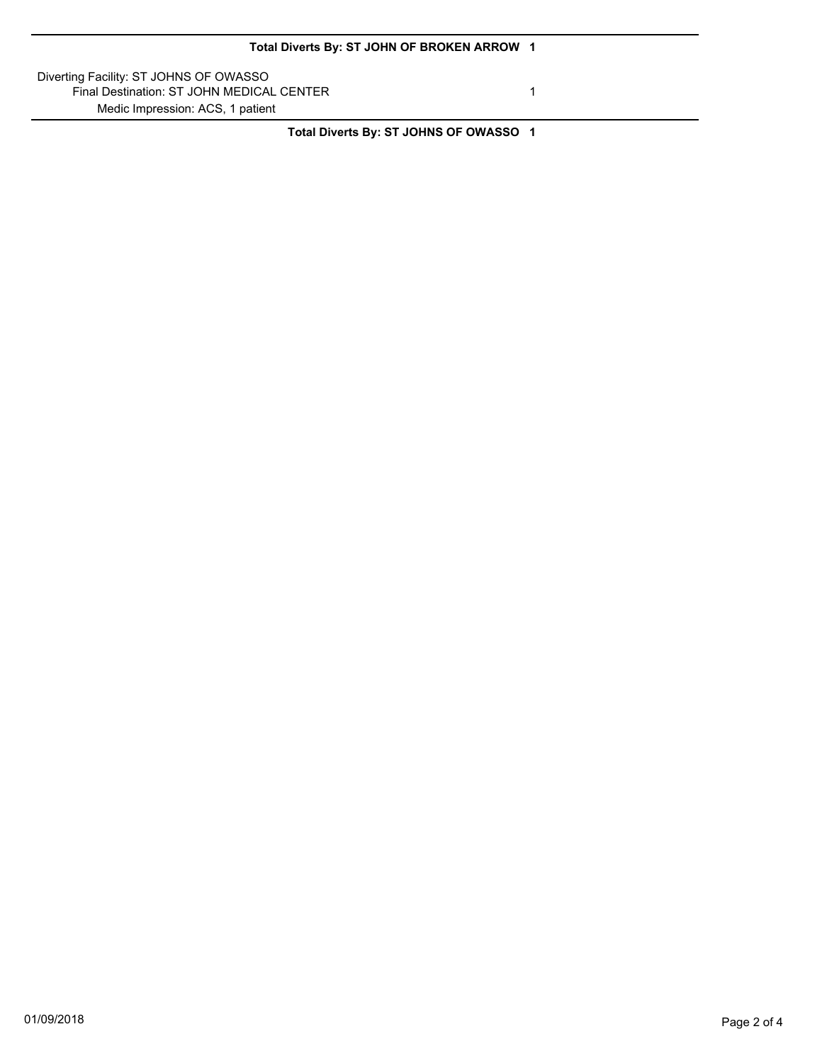Diverting Facility: ST JOHNS OF OWASSO Final Destination: ST JOHN MEDICAL CENTER 1 Medic Impression: ACS, 1 patient

**Total Diverts By: ST JOHNS OF OWASSO 1**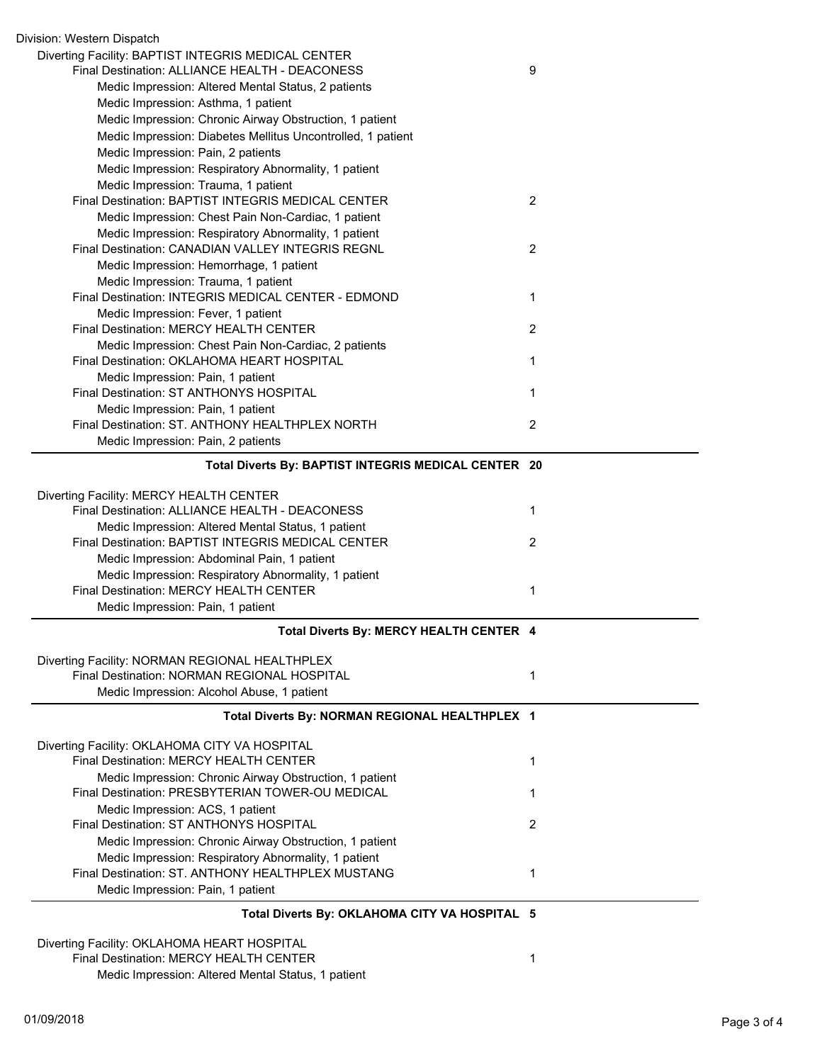| Division: Western Dispatch                                                                                |                |
|-----------------------------------------------------------------------------------------------------------|----------------|
| Diverting Facility: BAPTIST INTEGRIS MEDICAL CENTER<br>Final Destination: ALLIANCE HEALTH - DEACONESS     | 9              |
| Medic Impression: Altered Mental Status, 2 patients                                                       |                |
| Medic Impression: Asthma, 1 patient                                                                       |                |
| Medic Impression: Chronic Airway Obstruction, 1 patient                                                   |                |
| Medic Impression: Diabetes Mellitus Uncontrolled, 1 patient                                               |                |
| Medic Impression: Pain, 2 patients                                                                        |                |
| Medic Impression: Respiratory Abnormality, 1 patient                                                      |                |
| Medic Impression: Trauma, 1 patient                                                                       |                |
| Final Destination: BAPTIST INTEGRIS MEDICAL CENTER                                                        | $\overline{2}$ |
| Medic Impression: Chest Pain Non-Cardiac, 1 patient                                                       |                |
| Medic Impression: Respiratory Abnormality, 1 patient<br>Final Destination: CANADIAN VALLEY INTEGRIS REGNL | $\overline{2}$ |
| Medic Impression: Hemorrhage, 1 patient                                                                   |                |
| Medic Impression: Trauma, 1 patient                                                                       |                |
| Final Destination: INTEGRIS MEDICAL CENTER - EDMOND                                                       | 1              |
| Medic Impression: Fever, 1 patient                                                                        |                |
| Final Destination: MERCY HEALTH CENTER                                                                    | $\overline{2}$ |
| Medic Impression: Chest Pain Non-Cardiac, 2 patients                                                      |                |
| Final Destination: OKLAHOMA HEART HOSPITAL                                                                | 1              |
| Medic Impression: Pain, 1 patient<br>Final Destination: ST ANTHONYS HOSPITAL                              |                |
| Medic Impression: Pain, 1 patient                                                                         | 1              |
| Final Destination: ST. ANTHONY HEALTHPLEX NORTH                                                           | $\overline{2}$ |
| Medic Impression: Pain, 2 patients                                                                        |                |
|                                                                                                           |                |
| Total Diverts By: BAPTIST INTEGRIS MEDICAL CENTER 20                                                      |                |
| Diverting Facility: MERCY HEALTH CENTER                                                                   |                |
| Final Destination: ALLIANCE HEALTH - DEACONESS                                                            | 1              |
| Medic Impression: Altered Mental Status, 1 patient                                                        |                |
| Final Destination: BAPTIST INTEGRIS MEDICAL CENTER                                                        | $\overline{2}$ |
| Medic Impression: Abdominal Pain, 1 patient                                                               |                |
| Medic Impression: Respiratory Abnormality, 1 patient                                                      |                |
| Final Destination: MERCY HEALTH CENTER                                                                    | 1              |
| Medic Impression: Pain, 1 patient                                                                         |                |
| Total Diverts By: MERCY HEALTH CENTER 4                                                                   |                |
| Diverting Facility: NORMAN REGIONAL HEALTHPLEX                                                            |                |
| Final Destination: NORMAN REGIONAL HOSPITAL                                                               | 1              |
| Medic Impression: Alcohol Abuse, 1 patient                                                                |                |
| Total Diverts By: NORMAN REGIONAL HEALTHPLEX 1                                                            |                |
| Diverting Facility: OKLAHOMA CITY VA HOSPITAL                                                             |                |
| Final Destination: MERCY HEALTH CENTER                                                                    | 1              |
| Medic Impression: Chronic Airway Obstruction, 1 patient                                                   |                |
| Final Destination: PRESBYTERIAN TOWER-OU MEDICAL                                                          | 1              |
| Medic Impression: ACS, 1 patient                                                                          |                |
| Final Destination: ST ANTHONYS HOSPITAL                                                                   | 2              |
| Medic Impression: Chronic Airway Obstruction, 1 patient                                                   |                |
| Medic Impression: Respiratory Abnormality, 1 patient                                                      |                |
| Final Destination: ST. ANTHONY HEALTHPLEX MUSTANG                                                         | 1              |
| Medic Impression: Pain, 1 patient                                                                         |                |
| Total Diverts By: OKLAHOMA CITY VA HOSPITAL 5                                                             |                |
| Diverting Facility: OKLAHOMA HEART HOSPITAL                                                               |                |
| <b>Final Destination: MERCY HEALTH CENTER</b>                                                             | 1              |
| Medic Impression: Altered Mental Status, 1 patient                                                        |                |
|                                                                                                           |                |